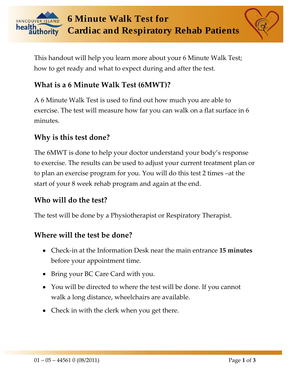

This handout will help you learn more about your 6 Minute Walk Test; how to get ready and what to expect during and after the test.

# **What is a 6 Minute Walk Test (6MWT)?**

A 6 Minute Walk Test is used to find out how much you are able to exercise. The test will measure how far you can walk on a flat surface in 6 minutes.

# **Why is this test done?**

The 6MWT is done to help your doctor understand your body's response to exercise. The results can be used to adjust your current treatment plan or to plan an exercise program for you. You will do this test 2 times –at the start of your 8 week rehab program and again at the end.

## **Who will do the test?**

The test will be done by a Physiotherapist or Respiratory Therapist.

## **Where will the test be done?**

- Check-in at the Information Desk near the main entrance **15 minutes**  before your appointment time.
- Bring your BC Care Card with you.
- You will be directed to where the test will be done. If you cannot walk a long distance, wheelchairs are available.
- Check in with the clerk when you get there.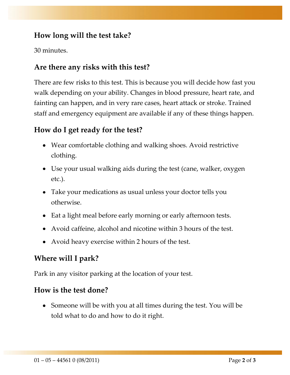## **How long will the test take?**

30 minutes.

## **Are there any risks with this test?**

There are few risks to this test. This is because you will decide how fast you walk depending on your ability. Changes in blood pressure, heart rate, and fainting can happen, and in very rare cases, heart attack or stroke. Trained staff and emergency equipment are available if any of these things happen.

## **How do I get ready for the test?**

- Wear comfortable clothing and walking shoes. Avoid restrictive clothing.
- Use your usual walking aids during the test (cane, walker, oxygen etc.).
- Take your medications as usual unless your doctor tells you otherwise.
- Eat a light meal before early morning or early afternoon tests.
- Avoid caffeine, alcohol and nicotine within 3 hours of the test.
- Avoid heavy exercise within 2 hours of the test.

# **Where will I park?**

Park in any visitor parking at the location of your test.

#### **How is the test done?**

• Someone will be with you at all times during the test. You will be told what to do and how to do it right.